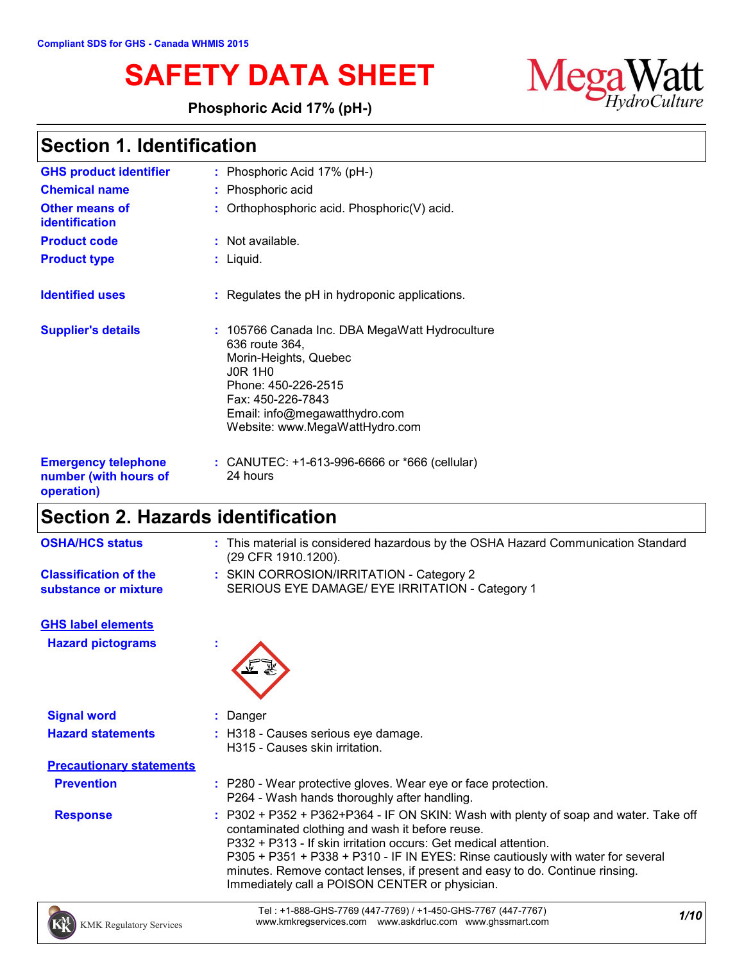**Phosphoric Acid 17% (pH-)**



| <b>GHS product identifier</b><br><b>Chemical name</b><br><b>Other means of</b> | : Phosphoric Acid $17\%$ (pH-)<br>: Phosphoric acid<br>: Orthophosphoric acid. Phosphoric(V) acid.                                                                                                                         |
|--------------------------------------------------------------------------------|----------------------------------------------------------------------------------------------------------------------------------------------------------------------------------------------------------------------------|
| <b>identification</b><br><b>Product code</b>                                   | $:$ Not available.                                                                                                                                                                                                         |
| <b>Product type</b>                                                            | : Liquid.                                                                                                                                                                                                                  |
| <b>Identified uses</b>                                                         | $:$ Regulates the pH in hydroponic applications.                                                                                                                                                                           |
| <b>Supplier's details</b>                                                      | : 105766 Canada Inc. DBA MegaWatt Hydroculture<br>636 route 364,<br>Morin-Heights, Quebec<br><b>JOR 1HO</b><br>Phone: 450-226-2515<br>Fax: 450-226-7843<br>Email: info@megawatthydro.com<br>Website: www.MegaWattHydro.com |
| <b>Emergency telephone</b><br>number (with hours of<br>operation)              | : CANUTEC: $+1-613-996-6666$ or $*666$ (cellular)<br>24 hours                                                                                                                                                              |

# **Section 2. Hazards identification**

| <b>OSHA/HCS status</b>                               | : This material is considered hazardous by the OSHA Hazard Communication Standard<br>(29 CFR 1910.1200). |
|------------------------------------------------------|----------------------------------------------------------------------------------------------------------|
| <b>Classification of the</b><br>substance or mixture | : SKIN CORROSION/IRRITATION - Category 2<br>SERIOUS EYE DAMAGE/ EYE IRRITATION - Category 1              |
| <b>GHS label elements</b>                            |                                                                                                          |
| <b>Hazard pictograms</b>                             | $\mathbf{r}$                                                                                             |
| <b>Signal word</b>                                   | Danger                                                                                                   |

| <b>UNIU WU</b>                  | Pungu                                                                                                                                                                                                                                                                                                                                                                                                                           |
|---------------------------------|---------------------------------------------------------------------------------------------------------------------------------------------------------------------------------------------------------------------------------------------------------------------------------------------------------------------------------------------------------------------------------------------------------------------------------|
| <b>Hazard statements</b>        | : H318 - Causes serious eye damage.<br>H315 - Causes skin irritation.                                                                                                                                                                                                                                                                                                                                                           |
| <b>Precautionary statements</b> |                                                                                                                                                                                                                                                                                                                                                                                                                                 |
| <b>Prevention</b>               | : P280 - Wear protective gloves. Wear eye or face protection.<br>P264 - Wash hands thoroughly after handling.                                                                                                                                                                                                                                                                                                                   |
| <b>Response</b>                 | : P302 + P352 + P362+P364 - IF ON SKIN: Wash with plenty of soap and water. Take off<br>contaminated clothing and wash it before reuse.<br>P332 + P313 - If skin irritation occurs: Get medical attention.<br>P305 + P351 + P338 + P310 - IF IN EYES: Rinse cautiously with water for several<br>minutes. Remove contact lenses, if present and easy to do. Continue rinsing.<br>Immediately call a POISON CENTER or physician. |



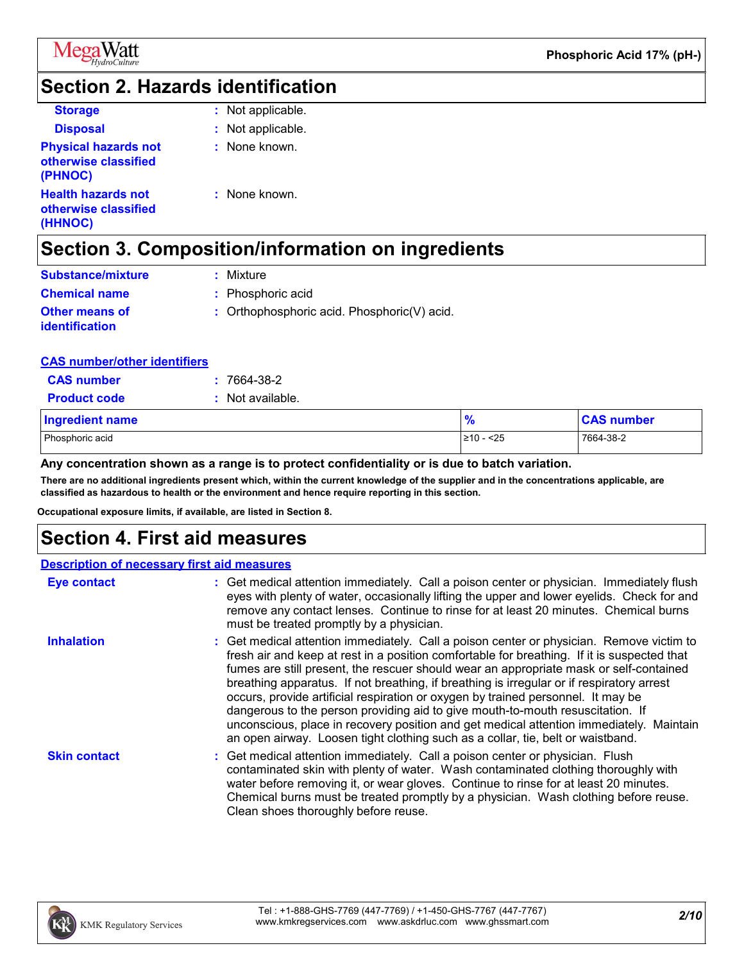

#### **Section 2. Hazards identification**

| <b>Storage</b>                                                 | : Not applicable. |
|----------------------------------------------------------------|-------------------|
| <b>Disposal</b>                                                | : Not applicable. |
| <b>Physical hazards not</b><br>otherwise classified<br>(PHNOC) | : None known.     |
| <b>Health hazards not</b><br>otherwise classified<br>(HHNOC)   | : None known.     |

## **Section 3. Composition/information on ingredients**

| <b>Substance/mixture</b>                       | : Mixture                                   |
|------------------------------------------------|---------------------------------------------|
| <b>Chemical name</b>                           | : Phosphoric acid                           |
| <b>Other means of</b><br><i>identification</i> | : Orthophosphoric acid. Phosphoric(V) acid. |

#### **CAS number/other identifiers**

| <b>CAS number</b>      | $: 7664-38-2$    |                |                   |
|------------------------|------------------|----------------|-------------------|
| <b>Product code</b>    | : Not available. |                |                   |
| <b>Ingredient name</b> |                  | $\frac{9}{6}$  | <b>CAS number</b> |
| Phosphoric acid        |                  | $\geq 10 - 25$ | 7664-38-2         |

#### **Any concentration shown as a range is to protect confidentiality or is due to batch variation.**

**There are no additional ingredients present which, within the current knowledge of the supplier and in the concentrations applicable, are classified as hazardous to health or the environment and hence require reporting in this section.**

**Occupational exposure limits, if available, are listed in Section 8.**

#### **Section 4. First aid measures**

|                     | <b>Description of necessary first aid measures</b>                                                                                                                                                                                                                                                                                                                                                                                                                                                                                                                                                                                                                                                                                 |
|---------------------|------------------------------------------------------------------------------------------------------------------------------------------------------------------------------------------------------------------------------------------------------------------------------------------------------------------------------------------------------------------------------------------------------------------------------------------------------------------------------------------------------------------------------------------------------------------------------------------------------------------------------------------------------------------------------------------------------------------------------------|
| <b>Eye contact</b>  | : Get medical attention immediately. Call a poison center or physician. Immediately flush<br>eyes with plenty of water, occasionally lifting the upper and lower eyelids. Check for and<br>remove any contact lenses. Continue to rinse for at least 20 minutes. Chemical burns<br>must be treated promptly by a physician.                                                                                                                                                                                                                                                                                                                                                                                                        |
| <b>Inhalation</b>   | : Get medical attention immediately. Call a poison center or physician. Remove victim to<br>fresh air and keep at rest in a position comfortable for breathing. If it is suspected that<br>fumes are still present, the rescuer should wear an appropriate mask or self-contained<br>breathing apparatus. If not breathing, if breathing is irregular or if respiratory arrest<br>occurs, provide artificial respiration or oxygen by trained personnel. It may be<br>dangerous to the person providing aid to give mouth-to-mouth resuscitation. If<br>unconscious, place in recovery position and get medical attention immediately. Maintain<br>an open airway. Loosen tight clothing such as a collar, tie, belt or waistband. |
| <b>Skin contact</b> | : Get medical attention immediately. Call a poison center or physician. Flush<br>contaminated skin with plenty of water. Wash contaminated clothing thoroughly with<br>water before removing it, or wear gloves. Continue to rinse for at least 20 minutes.<br>Chemical burns must be treated promptly by a physician. Wash clothing before reuse.<br>Clean shoes thoroughly before reuse.                                                                                                                                                                                                                                                                                                                                         |

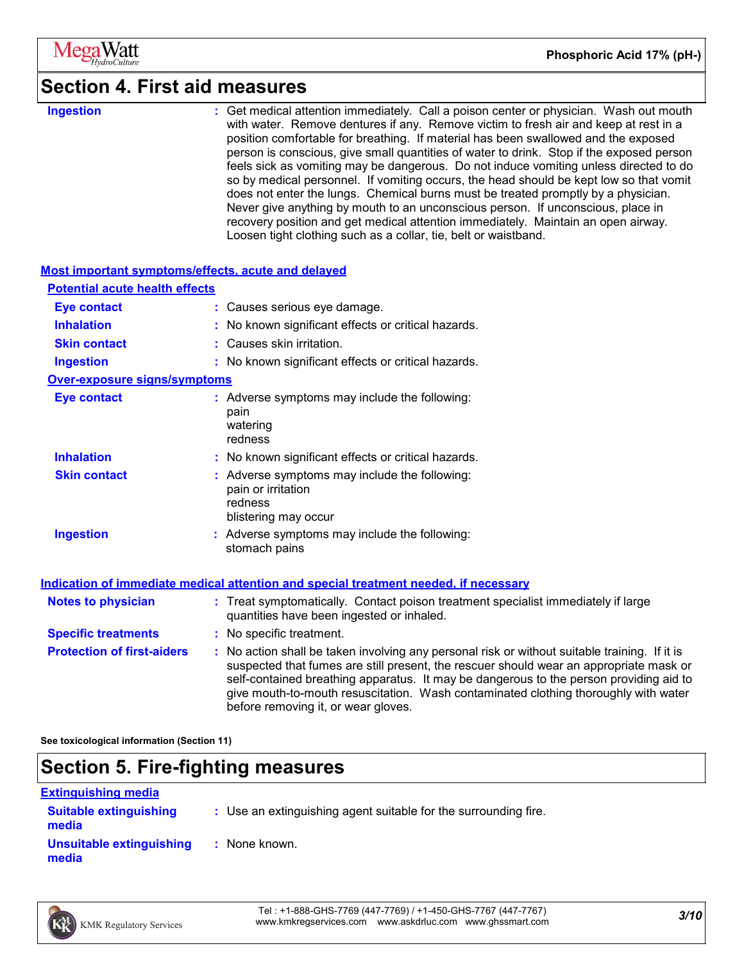

#### **Section 4. First aid measures**

**Ingestion :**

Get medical attention immediately. Call a poison center or physician. Wash out mouth with water. Remove dentures if any. Remove victim to fresh air and keep at rest in a position comfortable for breathing. If material has been swallowed and the exposed person is conscious, give small quantities of water to drink. Stop if the exposed person feels sick as vomiting may be dangerous. Do not induce vomiting unless directed to do so by medical personnel. If vomiting occurs, the head should be kept low so that vomit does not enter the lungs. Chemical burns must be treated promptly by a physician. Never give anything by mouth to an unconscious person. If unconscious, place in recovery position and get medical attention immediately. Maintain an open airway. Loosen tight clothing such as a collar, tie, belt or waistband.

| <b>Most important symptoms/effects, acute and delayed</b> |                                                                                                                                                                                                                                                                                                                                                                                                                 |  |  |  |
|-----------------------------------------------------------|-----------------------------------------------------------------------------------------------------------------------------------------------------------------------------------------------------------------------------------------------------------------------------------------------------------------------------------------------------------------------------------------------------------------|--|--|--|
| <b>Potential acute health effects</b>                     |                                                                                                                                                                                                                                                                                                                                                                                                                 |  |  |  |
| <b>Eye contact</b>                                        | : Causes serious eye damage.                                                                                                                                                                                                                                                                                                                                                                                    |  |  |  |
| <b>Inhalation</b>                                         | : No known significant effects or critical hazards.                                                                                                                                                                                                                                                                                                                                                             |  |  |  |
| <b>Skin contact</b>                                       | : Causes skin irritation.                                                                                                                                                                                                                                                                                                                                                                                       |  |  |  |
| <b>Ingestion</b>                                          | : No known significant effects or critical hazards.                                                                                                                                                                                                                                                                                                                                                             |  |  |  |
| <b>Over-exposure signs/symptoms</b>                       |                                                                                                                                                                                                                                                                                                                                                                                                                 |  |  |  |
| <b>Eye contact</b>                                        | : Adverse symptoms may include the following:<br>pain<br>watering<br>redness                                                                                                                                                                                                                                                                                                                                    |  |  |  |
| <b>Inhalation</b>                                         | : No known significant effects or critical hazards.                                                                                                                                                                                                                                                                                                                                                             |  |  |  |
| <b>Skin contact</b>                                       | : Adverse symptoms may include the following:<br>pain or irritation<br>redness<br>blistering may occur                                                                                                                                                                                                                                                                                                          |  |  |  |
| <b>Ingestion</b>                                          | Adverse symptoms may include the following:<br>stomach pains                                                                                                                                                                                                                                                                                                                                                    |  |  |  |
|                                                           | Indication of immediate medical attention and special treatment needed, if necessary                                                                                                                                                                                                                                                                                                                            |  |  |  |
| <b>Notes to physician</b>                                 | : Treat symptomatically. Contact poison treatment specialist immediately if large<br>quantities have been ingested or inhaled.                                                                                                                                                                                                                                                                                  |  |  |  |
| <b>Specific treatments</b>                                | : No specific treatment.                                                                                                                                                                                                                                                                                                                                                                                        |  |  |  |
| <b>Protection of first-aiders</b>                         | : No action shall be taken involving any personal risk or without suitable training. If it is<br>suspected that fumes are still present, the rescuer should wear an appropriate mask or<br>self-contained breathing apparatus. It may be dangerous to the person providing aid to<br>give mouth-to-mouth resuscitation. Wash contaminated clothing thoroughly with water<br>before removing it, or wear gloves. |  |  |  |

**See toxicological information (Section 11)**

### **Section 5. Fire-fighting measures**

| <b>Extinguishing media</b>             |                                                                 |
|----------------------------------------|-----------------------------------------------------------------|
| <b>Suitable extinguishing</b><br>media | : Use an extinguishing agent suitable for the surrounding fire. |
| Unsuitable extinguishing<br>media      | : None known.                                                   |

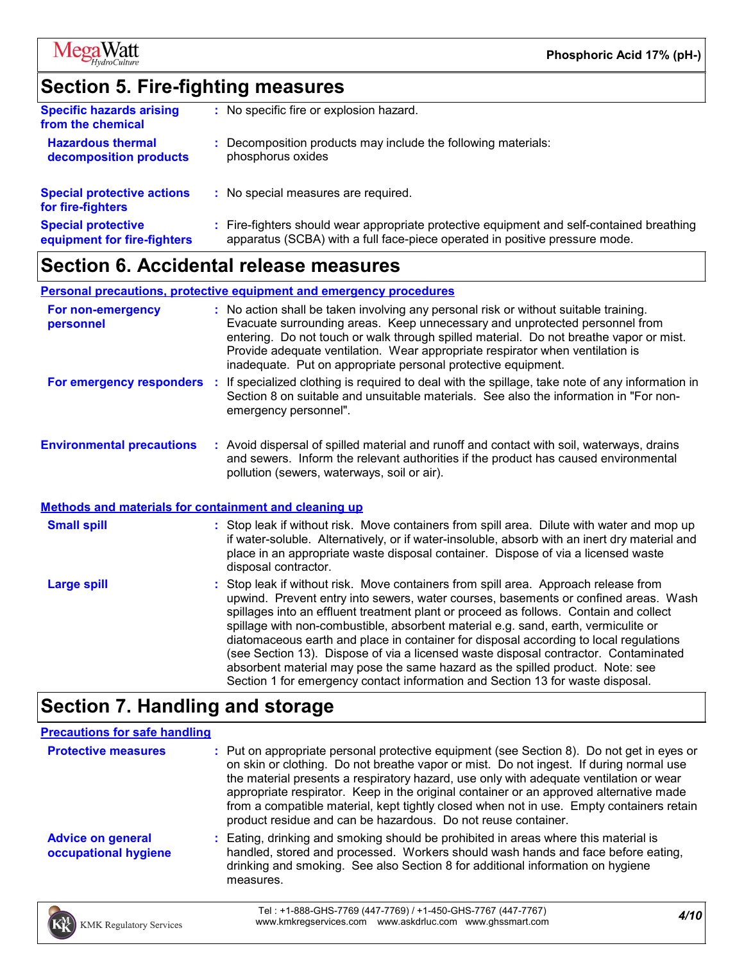

### **Section 5. Fire-fighting measures**

| <b>Specific hazards arising</b><br>from the chemical     | No specific fire or explosion hazard.                                                                                                                                    |
|----------------------------------------------------------|--------------------------------------------------------------------------------------------------------------------------------------------------------------------------|
| <b>Hazardous thermal</b><br>decomposition products       | Decomposition products may include the following materials:<br>phosphorus oxides                                                                                         |
| <b>Special protective actions</b><br>for fire-fighters   | No special measures are required.                                                                                                                                        |
| <b>Special protective</b><br>equipment for fire-fighters | : Fire-fighters should wear appropriate protective equipment and self-contained breathing<br>apparatus (SCBA) with a full face-piece operated in positive pressure mode. |
|                                                          |                                                                                                                                                                          |

#### **Section 6. Accidental release measures**

**Personal precautions, protective equipment and emergency procedures**

| For non-emergency<br>personnel   |    | : No action shall be taken involving any personal risk or without suitable training.<br>Evacuate surrounding areas. Keep unnecessary and unprotected personnel from<br>entering. Do not touch or walk through spilled material. Do not breathe vapor or mist.<br>Provide adequate ventilation. Wear appropriate respirator when ventilation is<br>inadequate. Put on appropriate personal protective equipment. |
|----------------------------------|----|-----------------------------------------------------------------------------------------------------------------------------------------------------------------------------------------------------------------------------------------------------------------------------------------------------------------------------------------------------------------------------------------------------------------|
| For emergency responders         | п. | If specialized clothing is required to deal with the spillage, take note of any information in<br>Section 8 on suitable and unsuitable materials. See also the information in "For non-<br>emergency personnel".                                                                                                                                                                                                |
| <b>Environmental precautions</b> |    | : Avoid dispersal of spilled material and runoff and contact with soil, waterways, drains<br>and sewers. Inform the relevant authorities if the product has caused environmental<br>pollution (sewers, waterways, soil or air).                                                                                                                                                                                 |

#### **Methods and materials for containment and cleaning up**

| <b>Small spill</b> | : Stop leak if without risk. Move containers from spill area. Dilute with water and mop up<br>if water-soluble. Alternatively, or if water-insoluble, absorb with an inert dry material and<br>place in an appropriate waste disposal container. Dispose of via a licensed waste<br>disposal contractor.                                                                                                                                                                                                                                                                                                                                                                                                     |
|--------------------|--------------------------------------------------------------------------------------------------------------------------------------------------------------------------------------------------------------------------------------------------------------------------------------------------------------------------------------------------------------------------------------------------------------------------------------------------------------------------------------------------------------------------------------------------------------------------------------------------------------------------------------------------------------------------------------------------------------|
| <b>Large spill</b> | : Stop leak if without risk. Move containers from spill area. Approach release from<br>upwind. Prevent entry into sewers, water courses, basements or confined areas. Wash<br>spillages into an effluent treatment plant or proceed as follows. Contain and collect<br>spillage with non-combustible, absorbent material e.g. sand, earth, vermiculite or<br>diatomaceous earth and place in container for disposal according to local regulations<br>(see Section 13). Dispose of via a licensed waste disposal contractor. Contaminated<br>absorbent material may pose the same hazard as the spilled product. Note: see<br>Section 1 for emergency contact information and Section 13 for waste disposal. |

# **Section 7. Handling and storage**

| <b>Precautions for safe handling</b>             |                                                                                                                                                                                                                                                                                                                                                                                                                                                                                                                                      |
|--------------------------------------------------|--------------------------------------------------------------------------------------------------------------------------------------------------------------------------------------------------------------------------------------------------------------------------------------------------------------------------------------------------------------------------------------------------------------------------------------------------------------------------------------------------------------------------------------|
| <b>Protective measures</b>                       | : Put on appropriate personal protective equipment (see Section 8). Do not get in eyes or<br>on skin or clothing. Do not breathe vapor or mist. Do not ingest. If during normal use<br>the material presents a respiratory hazard, use only with adequate ventilation or wear<br>appropriate respirator. Keep in the original container or an approved alternative made<br>from a compatible material, kept tightly closed when not in use. Empty containers retain<br>product residue and can be hazardous. Do not reuse container. |
| <b>Advice on general</b><br>occupational hygiene | : Eating, drinking and smoking should be prohibited in areas where this material is<br>handled, stored and processed. Workers should wash hands and face before eating,<br>drinking and smoking. See also Section 8 for additional information on hygiene<br>measures.                                                                                                                                                                                                                                                               |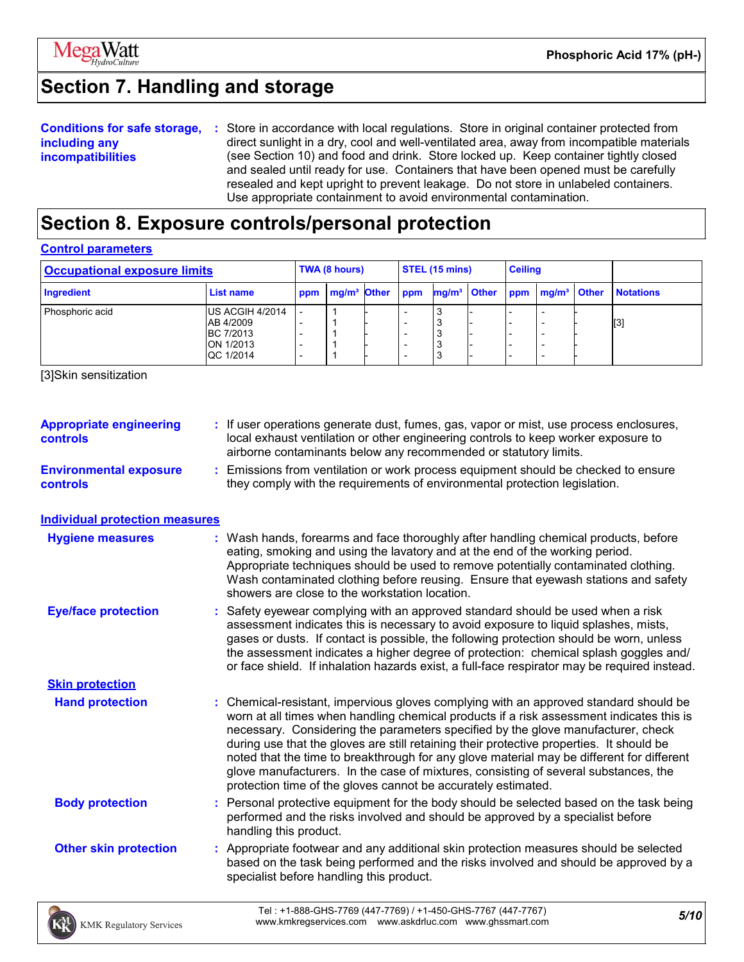

# **Section 7. Handling and storage**

|                          | <b>Conditions for safe storage, :</b> Store in accordance with local regulations. Store in original container protected from |
|--------------------------|------------------------------------------------------------------------------------------------------------------------------|
| including any            | direct sunlight in a dry, cool and well-ventilated area, away from incompatible materials                                    |
| <b>incompatibilities</b> | (see Section 10) and food and drink. Store locked up. Keep container tightly closed                                          |
|                          | and sealed until ready for use. Containers that have been opened must be carefully                                           |
|                          | resealed and kept upright to prevent leakage. Do not store in unlabeled containers.                                          |
|                          | Use appropriate containment to avoid environmental contamination.                                                            |

### **Section 8. Exposure controls/personal protection**

#### **Control parameters**

| <b>Occupational exposure limits</b> |                                                                            | TWA (8 hours) |               | STEL (15 mins) |                          | <b>Ceiling</b> |  |  |                                                     |                  |
|-------------------------------------|----------------------------------------------------------------------------|---------------|---------------|----------------|--------------------------|----------------|--|--|-----------------------------------------------------|------------------|
| Ingredient                          | List name                                                                  | ppm           | $mg/m3$ Other |                | ppm                      |                |  |  | mg/m <sup>3</sup> Other ppm mg/m <sup>3</sup> Other | <b>Notations</b> |
| Phosphoric acid                     | US ACGIH 4/2014<br>AB 4/2009<br><b>BC 7/2013</b><br>ON 1/2013<br>QC 1/2014 |               |               |                | $\overline{\phantom{0}}$ | ر,             |  |  |                                                     | [3]              |

[3]Skin sensitization

| <b>Appropriate engineering</b><br><b>controls</b> | : If user operations generate dust, fumes, gas, vapor or mist, use process enclosures,<br>local exhaust ventilation or other engineering controls to keep worker exposure to<br>airborne contaminants below any recommended or statutory limits.                                                                                                                                                                                                                                                                                                                                                                       |
|---------------------------------------------------|------------------------------------------------------------------------------------------------------------------------------------------------------------------------------------------------------------------------------------------------------------------------------------------------------------------------------------------------------------------------------------------------------------------------------------------------------------------------------------------------------------------------------------------------------------------------------------------------------------------------|
| <b>Environmental exposure</b><br><b>controls</b>  | : Emissions from ventilation or work process equipment should be checked to ensure<br>they comply with the requirements of environmental protection legislation.                                                                                                                                                                                                                                                                                                                                                                                                                                                       |
| <b>Individual protection measures</b>             |                                                                                                                                                                                                                                                                                                                                                                                                                                                                                                                                                                                                                        |
| <b>Hygiene measures</b>                           | : Wash hands, forearms and face thoroughly after handling chemical products, before<br>eating, smoking and using the lavatory and at the end of the working period.<br>Appropriate techniques should be used to remove potentially contaminated clothing.<br>Wash contaminated clothing before reusing. Ensure that eyewash stations and safety<br>showers are close to the workstation location.                                                                                                                                                                                                                      |
| <b>Eye/face protection</b>                        | : Safety eyewear complying with an approved standard should be used when a risk<br>assessment indicates this is necessary to avoid exposure to liquid splashes, mists,<br>gases or dusts. If contact is possible, the following protection should be worn, unless<br>the assessment indicates a higher degree of protection: chemical splash goggles and/<br>or face shield. If inhalation hazards exist, a full-face respirator may be required instead.                                                                                                                                                              |
| <b>Skin protection</b>                            |                                                                                                                                                                                                                                                                                                                                                                                                                                                                                                                                                                                                                        |
| <b>Hand protection</b>                            | : Chemical-resistant, impervious gloves complying with an approved standard should be<br>worn at all times when handling chemical products if a risk assessment indicates this is<br>necessary. Considering the parameters specified by the glove manufacturer, check<br>during use that the gloves are still retaining their protective properties. It should be<br>noted that the time to breakthrough for any glove material may be different for different<br>glove manufacturers. In the case of mixtures, consisting of several substances, the<br>protection time of the gloves cannot be accurately estimated. |
| <b>Body protection</b>                            | : Personal protective equipment for the body should be selected based on the task being<br>performed and the risks involved and should be approved by a specialist before<br>handling this product.                                                                                                                                                                                                                                                                                                                                                                                                                    |
| <b>Other skin protection</b>                      | : Appropriate footwear and any additional skin protection measures should be selected<br>based on the task being performed and the risks involved and should be approved by a<br>specialist before handling this product.                                                                                                                                                                                                                                                                                                                                                                                              |

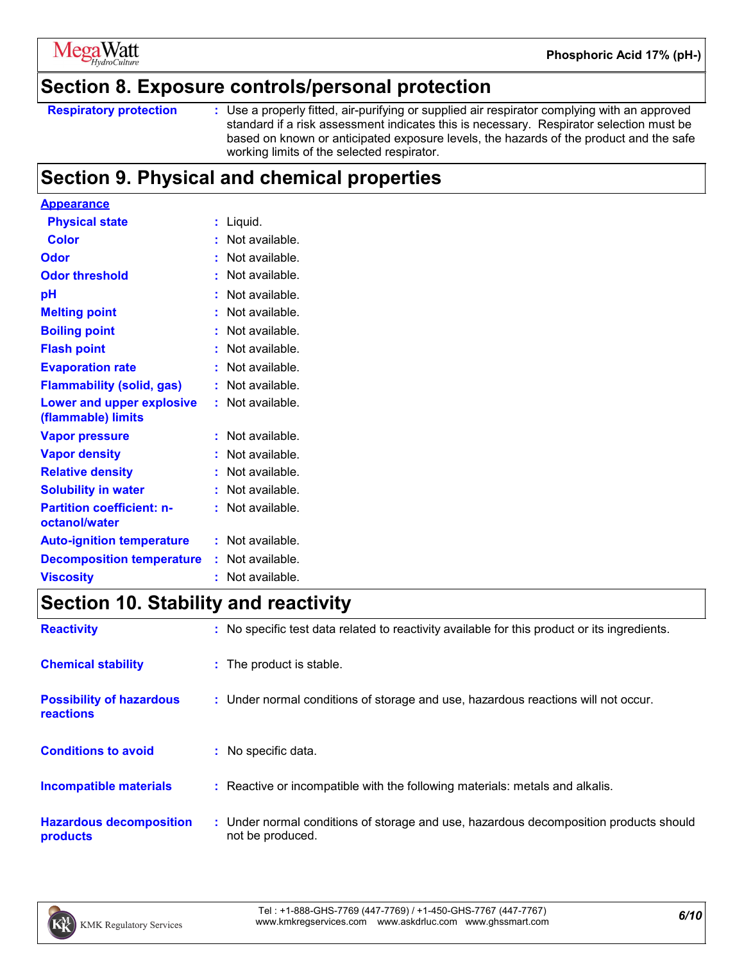

#### **Section 8. Exposure controls/personal protection**

Use a properly fitted, air-purifying or supplied air respirator complying with an approved standard if a risk assessment indicates this is necessary. Respirator selection must be based on known or anticipated exposure levels, the hazards of the product and the safe working limits of the selected respirator.

### **Section 9. Physical and chemical properties**

| <b>Appearance</b>                                      |    |                |
|--------------------------------------------------------|----|----------------|
| <b>Physical state</b>                                  | t  | Liquid.        |
| Color                                                  |    | Not available. |
| Odor                                                   | Ì  | Not available. |
| <b>Odor threshold</b>                                  | t  | Not available. |
| рH                                                     | t  | Not available. |
| <b>Melting point</b>                                   |    | Not available. |
| <b>Boiling point</b>                                   |    | Not available. |
| <b>Flash point</b>                                     |    | Not available. |
| <b>Evaporation rate</b>                                | t  | Not available. |
| <b>Flammability (solid, gas)</b>                       |    | Not available. |
| <b>Lower and upper explosive</b><br>(flammable) limits | t  | Not available. |
| <b>Vapor pressure</b>                                  |    | Not available. |
| <b>Vapor density</b>                                   |    | Not available. |
| <b>Relative density</b>                                | Ì  | Not available. |
| <b>Solubility in water</b>                             | t  | Not available. |
| <b>Partition coefficient: n-</b><br>octanol/water      |    | Not available. |
| <b>Auto-ignition temperature</b>                       | ÷  | Not available. |
| <b>Decomposition temperature</b>                       | ÷. | Not available. |
| <b>Viscosity</b>                                       |    | Not available. |

### **Section 10. Stability and reactivity**

| <b>Reactivity</b>                                   | : No specific test data related to reactivity available for this product or its ingredients.              |
|-----------------------------------------------------|-----------------------------------------------------------------------------------------------------------|
| <b>Chemical stability</b>                           | : The product is stable.                                                                                  |
| <b>Possibility of hazardous</b><br><b>reactions</b> | : Under normal conditions of storage and use, hazardous reactions will not occur.                         |
| <b>Conditions to avoid</b>                          | : No specific data.                                                                                       |
| <b>Incompatible materials</b>                       | : Reactive or incompatible with the following materials: metals and alkalis.                              |
| <b>Hazardous decomposition</b><br>products          | : Under normal conditions of storage and use, hazardous decomposition products should<br>not be produced. |



**Respiratory protection :**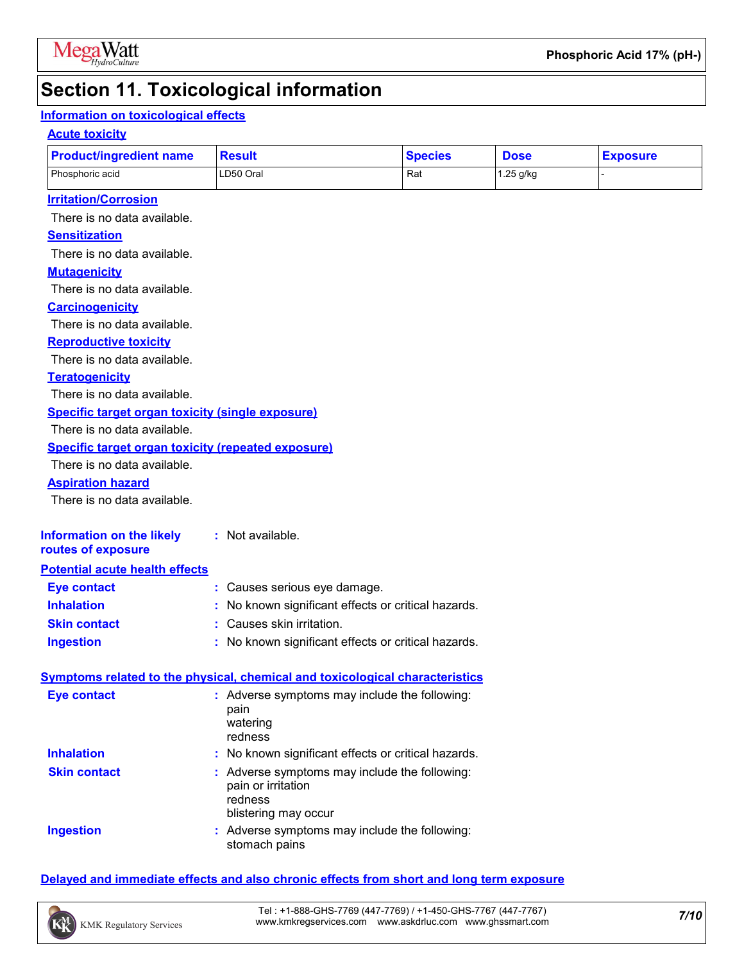

### **Section 11. Toxicological information**

#### **Information on toxicological effects**

#### **Acute toxicity**

| <b>Product/ingredient name</b>                            | <b>Result</b>                                                                                                                        | <b>Species</b> | <b>Dose</b> | <b>Exposure</b> |
|-----------------------------------------------------------|--------------------------------------------------------------------------------------------------------------------------------------|----------------|-------------|-----------------|
| Phosphoric acid                                           | LD50 Oral                                                                                                                            | Rat            | 1.25 g/kg   |                 |
| <b>Irritation/Corrosion</b>                               |                                                                                                                                      |                |             |                 |
| There is no data available.                               |                                                                                                                                      |                |             |                 |
| <b>Sensitization</b>                                      |                                                                                                                                      |                |             |                 |
| There is no data available.                               |                                                                                                                                      |                |             |                 |
| <b>Mutagenicity</b>                                       |                                                                                                                                      |                |             |                 |
| There is no data available.                               |                                                                                                                                      |                |             |                 |
| <b>Carcinogenicity</b>                                    |                                                                                                                                      |                |             |                 |
| There is no data available.                               |                                                                                                                                      |                |             |                 |
| <b>Reproductive toxicity</b>                              |                                                                                                                                      |                |             |                 |
| There is no data available.                               |                                                                                                                                      |                |             |                 |
| <b>Teratogenicity</b>                                     |                                                                                                                                      |                |             |                 |
| There is no data available.                               |                                                                                                                                      |                |             |                 |
| <b>Specific target organ toxicity (single exposure)</b>   |                                                                                                                                      |                |             |                 |
| There is no data available.                               |                                                                                                                                      |                |             |                 |
| <b>Specific target organ toxicity (repeated exposure)</b> |                                                                                                                                      |                |             |                 |
| There is no data available.                               |                                                                                                                                      |                |             |                 |
| <b>Aspiration hazard</b>                                  |                                                                                                                                      |                |             |                 |
| There is no data available.                               |                                                                                                                                      |                |             |                 |
| <b>Information on the likely</b><br>routes of exposure    | : Not available.                                                                                                                     |                |             |                 |
| <b>Potential acute health effects</b>                     |                                                                                                                                      |                |             |                 |
| <b>Eye contact</b>                                        | : Causes serious eye damage.                                                                                                         |                |             |                 |
| <b>Inhalation</b>                                         | No known significant effects or critical hazards.                                                                                    |                |             |                 |
| <b>Skin contact</b>                                       | Causes skin irritation.                                                                                                              |                |             |                 |
| <b>Ingestion</b>                                          | : No known significant effects or critical hazards.                                                                                  |                |             |                 |
|                                                           |                                                                                                                                      |                |             |                 |
|                                                           | <b>Symptoms related to the physical, chemical and toxicological characteristics</b><br>: Adverse symptoms may include the following: |                |             |                 |
| <b>Eye contact</b>                                        | pain<br>watering                                                                                                                     |                |             |                 |
|                                                           | redness                                                                                                                              |                |             |                 |
| <b>Inhalation</b>                                         | No known significant effects or critical hazards.                                                                                    |                |             |                 |
| <b>Skin contact</b>                                       | : Adverse symptoms may include the following:                                                                                        |                |             |                 |
|                                                           | pain or irritation                                                                                                                   |                |             |                 |
|                                                           | redness<br>blistering may occur                                                                                                      |                |             |                 |
| <b>Ingestion</b>                                          | : Adverse symptoms may include the following:                                                                                        |                |             |                 |
|                                                           | stomach pains                                                                                                                        |                |             |                 |

#### **Delayed and immediate effects and also chronic effects from short and long term exposure**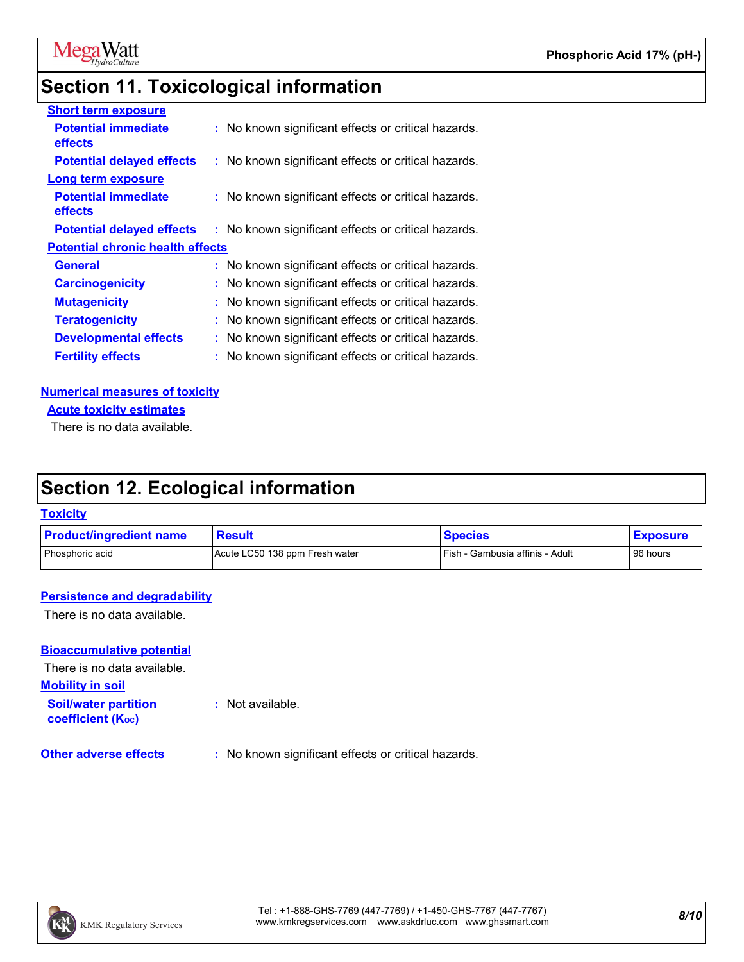

# **Section 11. Toxicological information**

| <b>Short term exposure</b>                   |                                                     |
|----------------------------------------------|-----------------------------------------------------|
| <b>Potential immediate</b><br><b>effects</b> | : No known significant effects or critical hazards. |
| <b>Potential delayed effects</b>             | : No known significant effects or critical hazards. |
| <b>Long term exposure</b>                    |                                                     |
| <b>Potential immediate</b><br><b>effects</b> | : No known significant effects or critical hazards. |
| <b>Potential delayed effects</b>             | : No known significant effects or critical hazards. |
| <b>Potential chronic health effects</b>      |                                                     |
| <b>General</b>                               | : No known significant effects or critical hazards. |
| <b>Carcinogenicity</b>                       | : No known significant effects or critical hazards. |
| <b>Mutagenicity</b>                          | : No known significant effects or critical hazards. |
| <b>Teratogenicity</b>                        | : No known significant effects or critical hazards. |
| <b>Developmental effects</b>                 | : No known significant effects or critical hazards. |
| <b>Fertility effects</b>                     | : No known significant effects or critical hazards. |
|                                              |                                                     |

#### **Numerical measures of toxicity**

**Acute toxicity estimates**

There is no data available.

### **Section 12. Ecological information**

#### **Toxicity**

| <b>Product/ingredient name</b> | <b>Result</b>                  | <b>Species</b>                    | <b>Exposure</b> |
|--------------------------------|--------------------------------|-----------------------------------|-----------------|
| Phosphoric acid                | Acute LC50 138 ppm Fresh water | l Fish - Gambusia affinis - Adult | 96 hours        |

#### **Persistence and degradability**

There is no data available.

#### **Bioaccumulative potential**

There is no data available.

**Mobility in soil**

**Soil/water partition coefficient (KOC)**

**:** Not available.

**Other adverse effects** : No known significant effects or critical hazards.

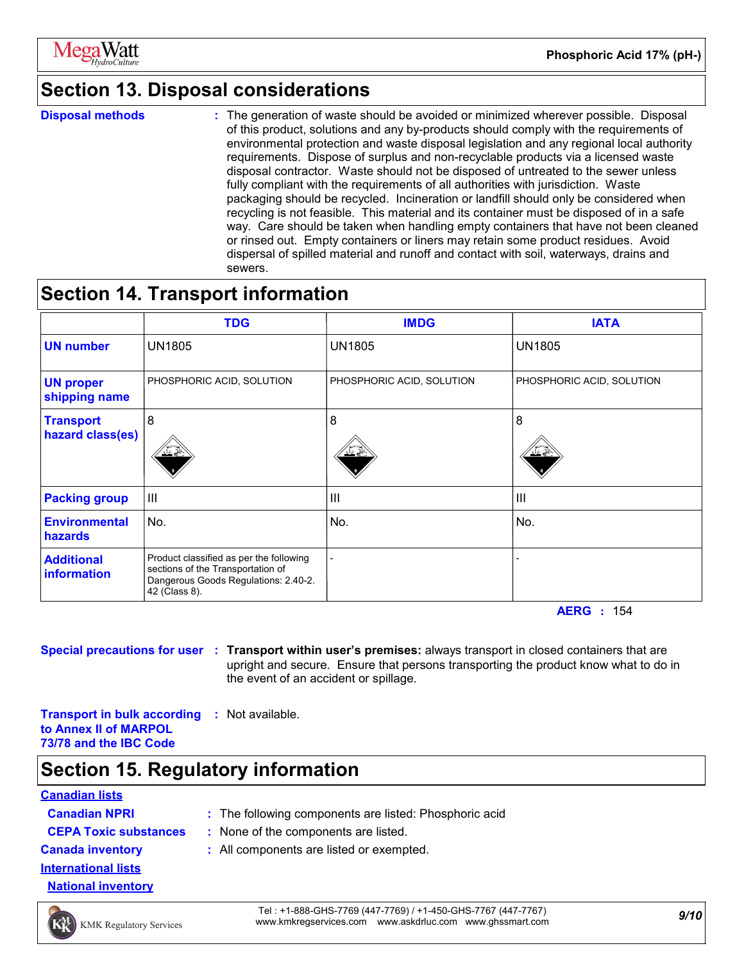

### **Section 13. Disposal considerations**

**Disposal methods :**

The generation of waste should be avoided or minimized wherever possible. Disposal of this product, solutions and any by-products should comply with the requirements of environmental protection and waste disposal legislation and any regional local authority requirements. Dispose of surplus and non-recyclable products via a licensed waste disposal contractor. Waste should not be disposed of untreated to the sewer unless fully compliant with the requirements of all authorities with jurisdiction. Waste packaging should be recycled. Incineration or landfill should only be considered when recycling is not feasible. This material and its container must be disposed of in a safe way. Care should be taken when handling empty containers that have not been cleaned or rinsed out. Empty containers or liners may retain some product residues. Avoid dispersal of spilled material and runoff and contact with soil, waterways, drains and sewers.

### **Section 14. Transport information**

|                                      | <b>TDG</b>                                                                                                                            | <b>IMDG</b>               | <b>IATA</b>               |
|--------------------------------------|---------------------------------------------------------------------------------------------------------------------------------------|---------------------------|---------------------------|
| <b>UN number</b>                     | <b>UN1805</b>                                                                                                                         | <b>UN1805</b>             | <b>UN1805</b>             |
| <b>UN proper</b><br>shipping name    | PHOSPHORIC ACID, SOLUTION                                                                                                             | PHOSPHORIC ACID, SOLUTION | PHOSPHORIC ACID, SOLUTION |
| <b>Transport</b><br>hazard class(es) | 8                                                                                                                                     | 8                         | 8                         |
| <b>Packing group</b>                 | $\mathbf{III}$                                                                                                                        | III                       | $\mathbf{III}$            |
| <b>Environmental</b><br>hazards      | No.                                                                                                                                   | No.                       | No.                       |
| <b>Additional</b><br>information     | Product classified as per the following<br>sections of the Transportation of<br>Dangerous Goods Regulations: 2.40-2.<br>42 (Class 8). |                           |                           |

**AERG :** 154

**Special precautions for user Transport within user's premises:** always transport in closed containers that are **:** upright and secure. Ensure that persons transporting the product know what to do in the event of an accident or spillage.

**Transport in bulk according :** Not available. **to Annex II of MARPOL 73/78 and the IBC Code**

### **Section 15. Regulatory information**

#### **Canadian lists**

| <b>Canadian NPRI</b>         |  |
|------------------------------|--|
| <b>CEPA Toxic substances</b> |  |
| <b>Canada inventory</b>      |  |
| <b>International lists</b>   |  |

- **:** The following components are listed: Phosphoric acid **:** None of the components are listed.
- 
- 
- **National inventory**
- **EXALL COMPOON EXEL IS ADDETED STAIL COMPOONLY 2015 COMPOON <b>CONS** 2016 COMPOON **CONS** 2016 COMPOON **CONS** 2016 COMPOON